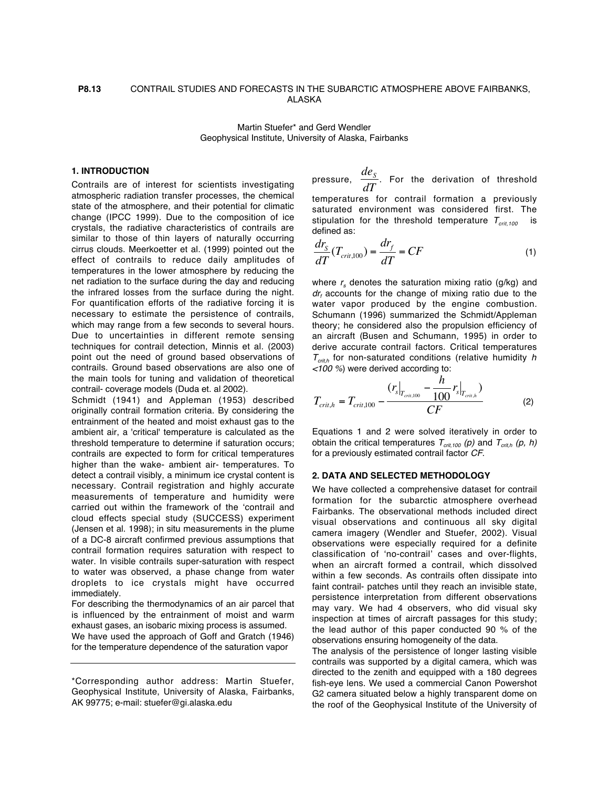### **P8.13** CONTRAIL STUDIES AND FORECASTS IN THE SUBARCTIC ATMOSPHERE ABOVE FAIRBANKS, ALASKA

Martin Stuefer\* and Gerd Wendler Geophysical Institute, University of Alaska, Fairbanks

#### **1. INTRODUCTION**

Contrails are of interest for scientists investigating atmospheric radiation transfer processes, the chemical state of the atmosphere, and their potential for climatic change (IPCC 1999). Due to the composition of ice crystals, the radiative characteristics of contrails are similar to those of thin layers of naturally occurring cirrus clouds. Meerkoetter et al. (1999) pointed out the effect of contrails to reduce daily amplitudes of temperatures in the lower atmosphere by reducing the net radiation to the surface during the day and reducing the infrared losses from the surface during the night. For quantification efforts of the radiative forcing it is necessary to estimate the persistence of contrails, which may range from a few seconds to several hours. Due to uncertainties in different remote sensing techniques for contrail detection, Minnis et al. (2003) point out the need of ground based observations of contrails. Ground based observations are also one of the main tools for tuning and validation of theoretical contrail- coverage models (Duda et. al 2002).

Schmidt (1941) and Appleman (1953) described originally contrail formation criteria. By considering the entrainment of the heated and moist exhaust gas to the ambient air, a 'critical' temperature is calculated as the threshold temperature to determine if saturation occurs; contrails are expected to form for critical temperatures higher than the wake- ambient air- temperatures. To € detect a contrail visibly, a minimum ice crystal content is necessary. Contrail registration and highly accurate measurements of temperature and humidity were carried out within the framework of the 'contrail and cloud effects special study (SUCCESS) experiment (Jensen et al. 1998); in situ measurements in the plume of a DC-8 aircraft confirmed previous assumptions that contrail formation requires saturation with respect to water. In visible contrails super-saturation with respect to water was observed, a phase change from water droplets to ice crystals might have occurred immediately.

For describing the thermodynamics of an air parcel that is influenced by the entrainment of moist and warm exhaust gases, an isobaric mixing process is assumed. We have used the approach of Goff and Gratch (1946) for the temperature dependence of the saturation vapor

pressure,  $\frac{de_S}{\sqrt{2}}$  $\frac{3}{dT}$ . For the derivation of threshold temperatures for contrail formation a previously

saturated environment was considered first. The stipulation for the threshold temperature  $T_{crit,100}$ defined as:

$$
\frac{dr_S}{dT}(T_{crit,100}) = \frac{dr_f}{dT} = CF \tag{1}
$$

watch vapor produced by the engine combustion.<br>Schumann (1996) summarized the Schmidt/Appleman where  $r<sub>s</sub>$  denotes the saturation mixing ratio (g/kg) and  $dr<sub>f</sub>$  accounts for the change of mixing ratio due to the water vapor produced by the engine combustion. theory; he considered also the propulsion efficiency of an aircraft (Busen and Schumann, 1995) in order to derive accurate contrail factors. Critical temperatures  $T_{\text{crit},h}$  for non-saturated conditions (relative humidity h <100 %) were derived according to:

$$
T_{crit,h} = T_{crit,100} - \frac{(r_s|_{T_{crit,100}} - \frac{h}{100}r_s|_{T_{crit,h}})}{CF}
$$
 (2)

Equations 1 and 2 were solved iteratively in order to obtain the critical temperatures  $T_{crit,100}$  (p) and  $T_{crit,h}$  (p, h) for a previously estimated contrail factor CF.

# **2. DATA AND SELECTED METHODOLOGY**

We have collected a comprehensive dataset for contrail formation for the subarctic atmosphere overhead Fairbanks. The observational methods included direct visual observations and continuous all sky digital camera imagery (Wendler and Stuefer, 2002). Visual observations were especially required for a definite classification of 'no-contrail' cases and over-flights, when an aircraft formed a contrail, which dissolved within a few seconds. As contrails often dissipate into faint contrail- patches until they reach an invisible state, persistence interpretation from different observations may vary. We had 4 observers, who did visual sky inspection at times of aircraft passages for this study; the lead author of this paper conducted 90 % of the observations ensuring homogeneity of the data.

The analysis of the persistence of longer lasting visible contrails was supported by a digital camera, which was directed to the zenith and equipped with a 180 degrees fish-eye lens. We used a commercial Canon Powershot G2 camera situated below a highly transparent dome on the roof of the Geophysical Institute of the University of

<sup>\*</sup>Corresponding author address: Martin Stuefer, Geophysical Institute, University of Alaska, Fairbanks, AK 99775; e-mail: stuefer@gi.alaska.edu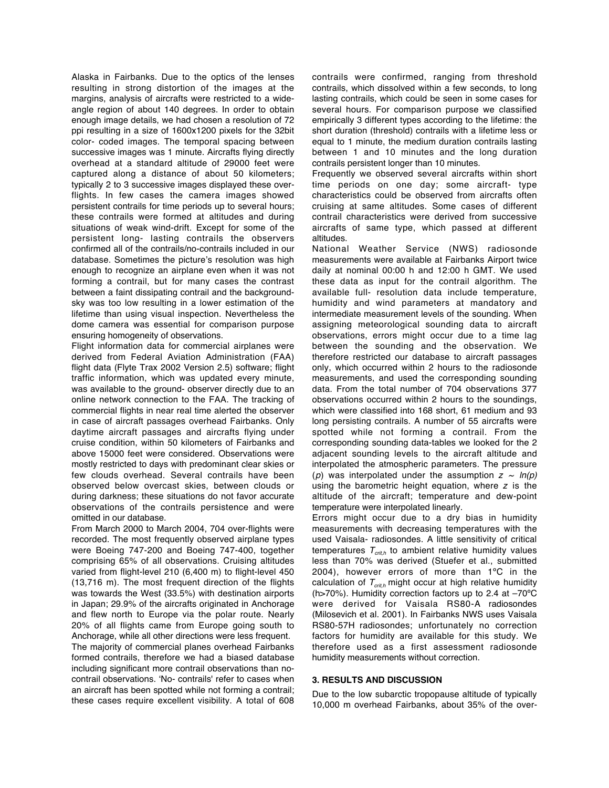Alaska in Fairbanks. Due to the optics of the lenses resulting in strong distortion of the images at the margins, analysis of aircrafts were restricted to a wideangle region of about 140 degrees. In order to obtain enough image details, we had chosen a resolution of 72 ppi resulting in a size of 1600x1200 pixels for the 32bit color- coded images. The temporal spacing between successive images was 1 minute. Aircrafts flying directly overhead at a standard altitude of 29000 feet were captured along a distance of about 50 kilometers; typically 2 to 3 successive images displayed these overflights. In few cases the camera images showed persistent contrails for time periods up to several hours; these contrails were formed at altitudes and during situations of weak wind-drift. Except for some of the persistent long- lasting contrails the observers confirmed all of the contrails/no-contrails included in our database. Sometimes the picture's resolution was high enough to recognize an airplane even when it was not forming a contrail, but for many cases the contrast between a faint dissipating contrail and the backgroundsky was too low resulting in a lower estimation of the lifetime than using visual inspection. Nevertheless the dome camera was essential for comparison purpose ensuring homogeneity of observations.

Flight information data for commercial airplanes were derived from Federal Aviation Administration (FAA) flight data (Flyte Trax 2002 Version 2.5) software; flight traffic information, which was updated every minute, was available to the ground- observer directly due to an online network connection to the FAA. The tracking of commercial flights in near real time alerted the observer in case of aircraft passages overhead Fairbanks. Only daytime aircraft passages and aircrafts flying under cruise condition, within 50 kilometers of Fairbanks and above 15000 feet were considered. Observations were mostly restricted to days with predominant clear skies or few clouds overhead. Several contrails have been observed below overcast skies, between clouds or during darkness; these situations do not favor accurate observations of the contrails persistence and were omitted in our database.

From March 2000 to March 2004, 704 over-flights were recorded. The most frequently observed airplane types were Boeing 747-200 and Boeing 747-400, together comprising 65% of all observations. Cruising altitudes varied from flight-level 210 (6,400 m) to flight-level 450 (13,716 m). The most frequent direction of the flights was towards the West (33.5%) with destination airports in Japan; 29.9% of the aircrafts originated in Anchorage and flew north to Europe via the polar route. Nearly 20% of all flights came from Europe going south to Anchorage, while all other directions were less frequent. The majority of commercial planes overhead Fairbanks formed contrails, therefore we had a biased database including significant more contrail observations than nocontrail observations. 'No- contrails' refer to cases when an aircraft has been spotted while not forming a contrail; these cases require excellent visibility. A total of 608 contrails were confirmed, ranging from threshold contrails, which dissolved within a few seconds, to long lasting contrails, which could be seen in some cases for several hours. For comparison purpose we classified empirically 3 different types according to the lifetime: the short duration (threshold) contrails with a lifetime less or equal to 1 minute, the medium duration contrails lasting between 1 and 10 minutes and the long duration contrails persistent longer than 10 minutes.

Frequently we observed several aircrafts within short time periods on one day; some aircraft- type characteristics could be observed from aircrafts often cruising at same altitudes. Some cases of different contrail characteristics were derived from successive aircrafts of same type, which passed at different altitudes.

National Weather Service (NWS) radiosonde measurements were available at Fairbanks Airport twice daily at nominal 00:00 h and 12:00 h GMT. We used these data as input for the contrail algorithm. The available full- resolution data include temperature, humidity and wind parameters at mandatory and intermediate measurement levels of the sounding. When assigning meteorological sounding data to aircraft observations, errors might occur due to a time lag between the sounding and the observation. We therefore restricted our database to aircraft passages only, which occurred within 2 hours to the radiosonde measurements, and used the corresponding sounding data. From the total number of 704 observations 377 observations occurred within 2 hours to the soundings, which were classified into 168 short, 61 medium and 93 long persisting contrails. A number of 55 aircrafts were spotted while not forming a contrail. From the corresponding sounding data-tables we looked for the 2 adjacent sounding levels to the aircraft altitude and interpolated the atmospheric parameters. The pressure (p) was interpolated under the assumption  $z \sim ln(p)$ using the barometric height equation, where  $z$  is the altitude of the aircraft; temperature and dew-point temperature were interpolated linearly.

Errors might occur due to a dry bias in humidity measurements with decreasing temperatures with the used Vaisala- radiosondes. A little sensitivity of critical temperatures  $T_{\text{crit}}$  to ambient relative humidity values less than 70% was derived (Stuefer et al., submitted 2004), however errors of more than 1ºC in the calculation of  $T<sub>crit</sub>$ , might occur at high relative humidity (h>70%). Humidity correction factors up to 2.4 at –70ºC were derived for Vaisala RS80-A radiosondes (Milosevich et al. 2001). In Fairbanks NWS uses Vaisala RS80-57H radiosondes; unfortunately no correction factors for humidity are available for this study. We therefore used as a first assessment radiosonde humidity measurements without correction.

#### **3. RESULTS AND DISCUSSION**

Due to the low subarctic tropopause altitude of typically 10,000 m overhead Fairbanks, about 35% of the over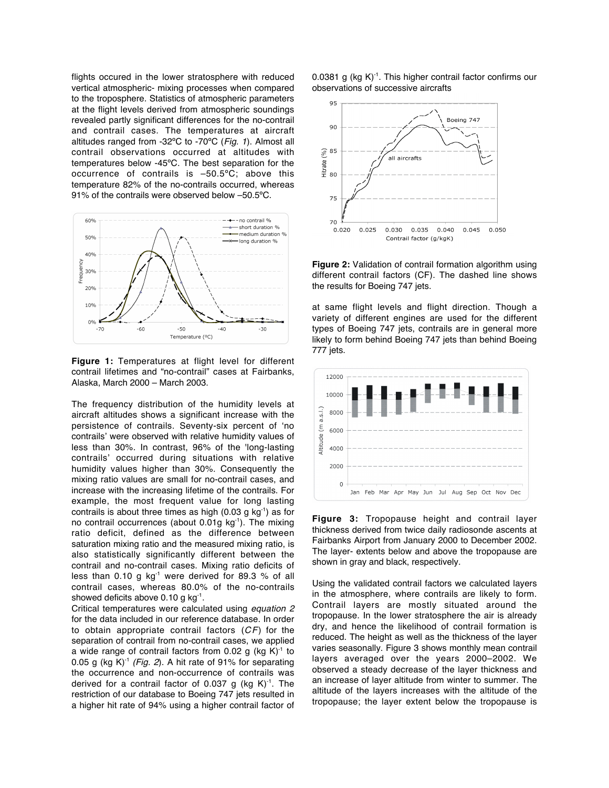flights occured in the lower stratosphere with reduced vertical atmospheric- mixing processes when compared to the troposphere. Statistics of atmospheric parameters at the flight levels derived from atmospheric soundings revealed partly significant differences for the no-contrail and contrail cases. The temperatures at aircraft altitudes ranged from -32ºC to -70ºC (Fig. 1). Almost all contrail observations occurred at altitudes with temperatures below -45ºC. The best separation for the occurrence of contrails is –50.5ºC; above this temperature 82% of the no-contrails occurred, whereas 91% of the contrails were observed below –50.5ºC.



**Figure 1:** Temperatures at flight level for different contrail lifetimes and "no-contrail" cases at Fairbanks, Alaska, March 2000 – March 2003.

The frequency distribution of the humidity levels at aircraft altitudes shows a significant increase with the persistence of contrails. Seventy-six percent of 'no contrails' were observed with relative humidity values of less than 30%. In contrast, 96% of the 'long-lasting contrails' occurred during situations with relative humidity values higher than 30%. Consequently the mixing ratio values are small for no-contrail cases, and increase with the increasing lifetime of the contrails. For example, the most frequent value for long lasting contrails is about three times as high  $(0.03 \text{ g kg}^{-1})$  as for no contrail occurrences (about  $0.01q$  kg<sup>-1</sup>). The mixing ratio deficit, defined as the difference between saturation mixing ratio and the measured mixing ratio, is also statistically significantly different between the contrail and no-contrail cases. Mixing ratio deficits of less than 0.10 g  $kg^{-1}$  were derived for 89.3 % of all contrail cases, whereas 80.0% of the no-contrails showed deficits above 0.10 g kg<sup>-1</sup>.

Critical temperatures were calculated using equation 2 for the data included in our reference database. In order to obtain appropriate contrail factors  $(CF)$  for the separation of contrail from no-contrail cases, we applied a wide range of contrail factors from 0.02 g (kg  $K$ )<sup>-1</sup> to 0.05 g (kg K) $^{-1}$  (Fig. 2). A hit rate of 91% for separating the occurrence and non-occurrence of contrails was derived for a contrail factor of 0.037 g (kg  $K$ )<sup>-1</sup>. The restriction of our database to Boeing 747 jets resulted in a higher hit rate of 94% using a higher contrail factor of 0.0381 g (kg  $K$ )<sup>-1</sup>. This higher contrail factor confirms our observations of successive aircrafts



**Figure 2:** Validation of contrail formation algorithm using different contrail factors (CF). The dashed line shows the results for Boeing 747 jets.

at same flight levels and flight direction. Though a variety of different engines are used for the different types of Boeing 747 jets, contrails are in general more likely to form behind Boeing 747 jets than behind Boeing 777 jets.



**Figure 3:** Tropopause height and contrail layer thickness derived from twice daily radiosonde ascents at Fairbanks Airport from January 2000 to December 2002. The layer- extents below and above the tropopause are shown in gray and black, respectively.

Using the validated contrail factors we calculated layers in the atmosphere, where contrails are likely to form. Contrail layers are mostly situated around the tropopause. In the lower stratosphere the air is already dry, and hence the likelihood of contrail formation is reduced. The height as well as the thickness of the layer varies seasonally. Figure 3 shows monthly mean contrail layers averaged over the years 2000–2002. We observed a steady decrease of the layer thickness and an increase of layer altitude from winter to summer. The altitude of the layers increases with the altitude of the tropopause; the layer extent below the tropopause is